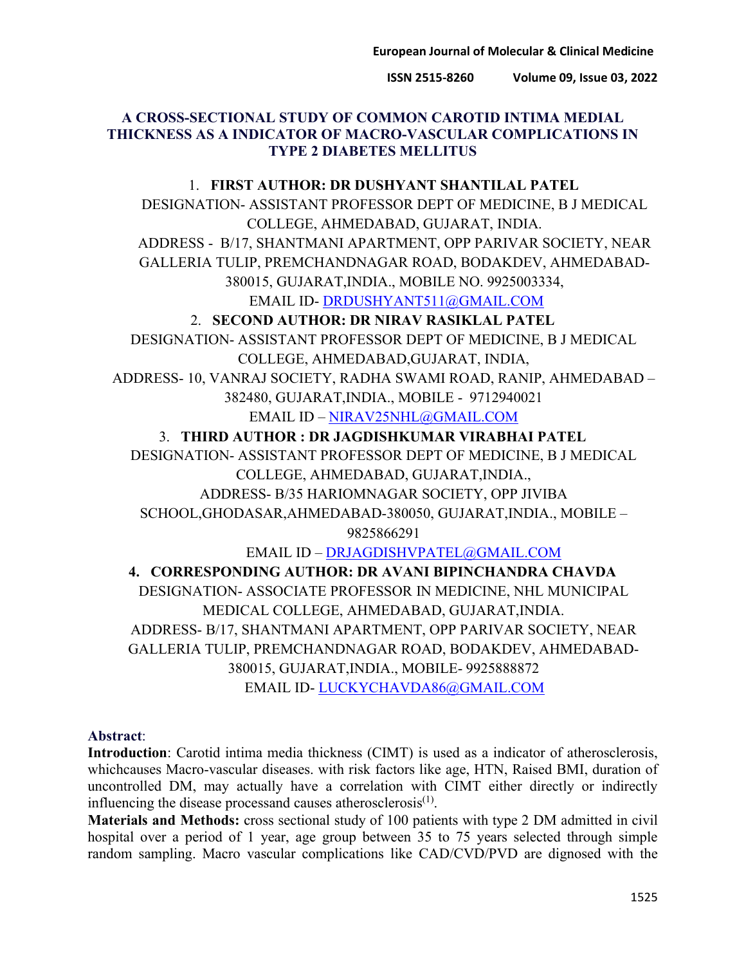**ISSN 2515-8260 Volume 09, Issue 03, 2022**

# **A CROSS-SECTIONAL STUDY OF COMMON CAROTID INTIMA MEDIAL THICKNESS AS A INDICATOR OF MACRO-VASCULAR COMPLICATIONS IN TYPE 2 DIABETES MELLITUS**

## 1. **FIRST AUTHOR: DR DUSHYANT SHANTILAL PATEL**

DESIGNATION- ASSISTANT PROFESSOR DEPT OF MEDICINE, B J MEDICAL COLLEGE, AHMEDABAD, GUJARAT, INDIA. ADDRESS - B/17, SHANTMANI APARTMENT, OPP PARIVAR SOCIETY, NEAR GALLERIA TULIP, PREMCHANDNAGAR ROAD, BODAKDEV, AHMEDABAD-

380015, GUJARAT,INDIA., MOBILE NO. 9925003334,

EMAIL ID- [DRDUSHYANT511@GMAIL.COM](mailto:DRDUSHYANT511@GMAIL.COM)

# 2. **SECOND AUTHOR: DR NIRAV RASIKLAL PATEL**

DESIGNATION- ASSISTANT PROFESSOR DEPT OF MEDICINE, B J MEDICAL COLLEGE, AHMEDABAD,GUJARAT, INDIA,

ADDRESS- 10, VANRAJ SOCIETY, RADHA SWAMI ROAD, RANIP, AHMEDABAD – 382480, GUJARAT,INDIA., MOBILE - 9712940021

EMAIL ID – [NIRAV25NHL@GMAIL.COM](mailto:NIRAV25NHL@GMAIL.COM)

# 3. **THIRD AUTHOR : DR JAGDISHKUMAR VIRABHAI PATEL**

DESIGNATION- ASSISTANT PROFESSOR DEPT OF MEDICINE, B J MEDICAL COLLEGE, AHMEDABAD, GUJARAT,INDIA.,

ADDRESS- B/35 HARIOMNAGAR SOCIETY, OPP JIVIBA

SCHOOL,GHODASAR,AHMEDABAD-380050, GUJARAT,INDIA., MOBILE –

9825866291

EMAIL ID – [DRJAGDISHVPATEL@GMAIL.COM](mailto:DRJAGDISHVPATEL@GMAIL.COM)

**4. CORRESPONDING AUTHOR: DR AVANI BIPINCHANDRA CHAVDA** DESIGNATION- ASSOCIATE PROFESSOR IN MEDICINE, NHL MUNICIPAL MEDICAL COLLEGE, AHMEDABAD, GUJARAT,INDIA. ADDRESS- B/17, SHANTMANI APARTMENT, OPP PARIVAR SOCIETY, NEAR GALLERIA TULIP, PREMCHANDNAGAR ROAD, BODAKDEV, AHMEDABAD-380015, GUJARAT,INDIA., MOBILE- 9925888872 EMAIL ID- [LUCKYCHAVDA86@GMAIL.COM](mailto:LUCKYCHAVDA86@GMAIL.COM)

# **Abstract**:

**Introduction**: Carotid intima media thickness (CIMT) is used as a indicator of atherosclerosis, whichcauses Macro-vascular diseases. with risk factors like age, HTN, Raised BMI, duration of uncontrolled DM, may actually have a correlation with CIMT either directly or indirectly influencing the disease processand causes atherosclerosis<sup> $(1)$ </sup>.

**Materials and Methods:** cross sectional study of 100 patients with type 2 DM admitted in civil hospital over a period of 1 year, age group between 35 to 75 years selected through simple random sampling. Macro vascular complications like CAD/CVD/PVD are dignosed with the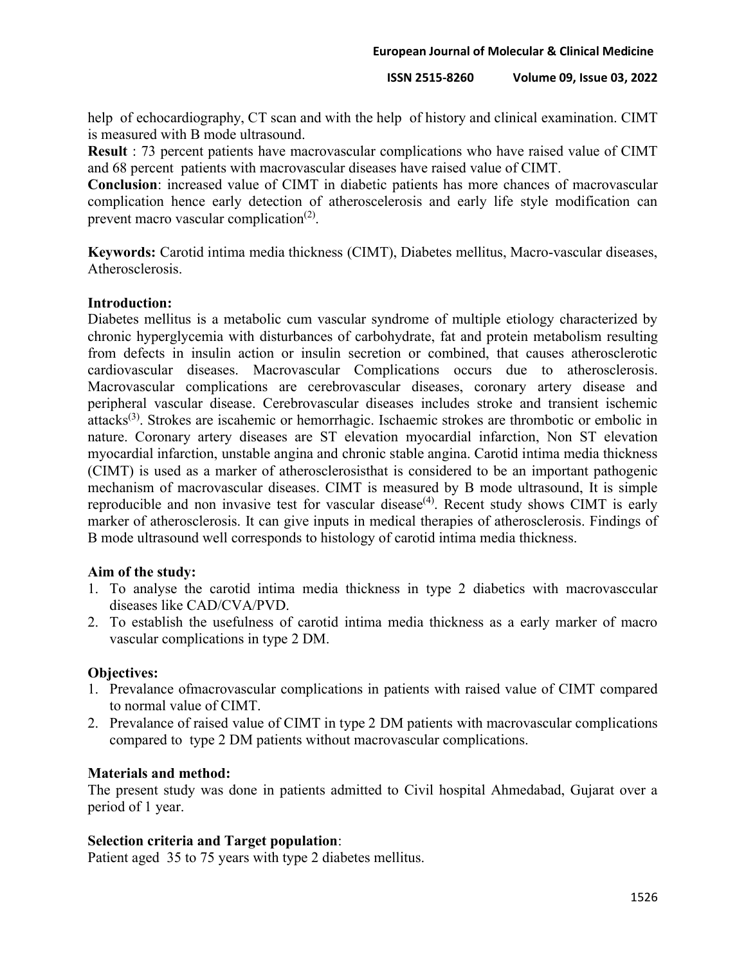help of echocardiography, CT scan and with the help of history and clinical examination. CIMT is measured with B mode ultrasound.

**Result** : 73 percent patients have macrovascular complications who have raised value of CIMT and 68 percent patients with macrovascular diseases have raised value of CIMT.

**Conclusion**: increased value of CIMT in diabetic patients has more chances of macrovascular complication hence early detection of atheroscelerosis and early life style modification can prevent macro vascular complication<sup> $(2)$ </sup>.

**Keywords:** Carotid intima media thickness (CIMT), Diabetes mellitus, Macro-vascular diseases, Atherosclerosis.

## **Introduction:**

Diabetes mellitus is a metabolic cum vascular syndrome of multiple etiology characterized by chronic hyperglycemia with disturbances of carbohydrate, fat and protein metabolism resulting from defects in insulin action or insulin secretion or combined, that causes atherosclerotic cardiovascular diseases. Macrovascular Complications occurs due to atherosclerosis. Macrovascular complications are cerebrovascular diseases, coronary artery disease and peripheral vascular disease. Cerebrovascular diseases includes stroke and transient ischemic attacks(3). Strokes are iscahemic or hemorrhagic. Ischaemic strokes are thrombotic or embolic in nature. Coronary artery diseases are ST elevation myocardial infarction, Non ST elevation myocardial infarction, unstable angina and chronic stable angina. Carotid intima media thickness (CIMT) is used as a marker of atherosclerosisthat is considered to be an important pathogenic mechanism of macrovascular diseases. CIMT is measured by B mode ultrasound, It is simple reproducible and non invasive test for vascular disease<sup> $(4)$ </sup>. Recent study shows CIMT is early marker of atherosclerosis. It can give inputs in medical therapies of atherosclerosis. Findings of B mode ultrasound well corresponds to histology of carotid intima media thickness.

## **Aim of the study:**

- 1. To analyse the carotid intima media thickness in type 2 diabetics with macrovasccular diseases like CAD/CVA/PVD.
- 2. To establish the usefulness of carotid intima media thickness as a early marker of macro vascular complications in type 2 DM.

# **Objectives:**

- 1. Prevalance ofmacrovascular complications in patients with raised value of CIMT compared to normal value of CIMT.
- 2. Prevalance of raised value of CIMT in type 2 DM patients with macrovascular complications compared to type 2 DM patients without macrovascular complications.

## **Materials and method:**

The present study was done in patients admitted to Civil hospital Ahmedabad, Gujarat over a period of 1 year.

## **Selection criteria and Target population**:

Patient aged 35 to 75 years with type 2 diabetes mellitus.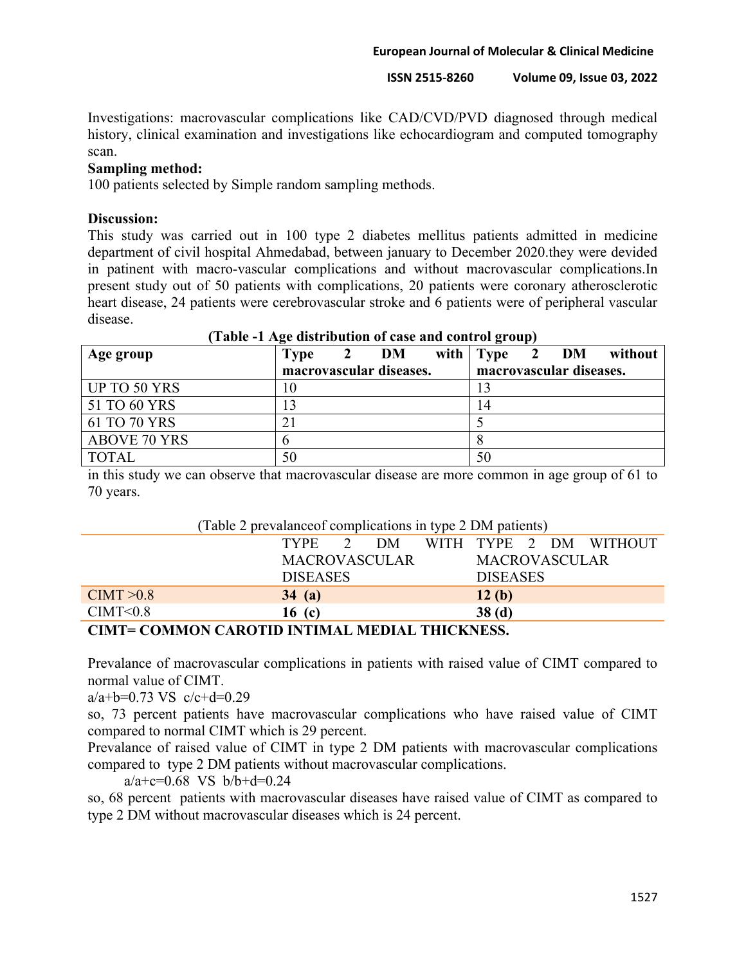#### **European Journal of Molecular & Clinical Medicine**

#### **ISSN 2515-8260 Volume 09, Issue 03, 2022**

Investigations: macrovascular complications like CAD/CVD/PVD diagnosed through medical history, clinical examination and investigations like echocardiogram and computed tomography scan.

## **Sampling method:**

100 patients selected by Simple random sampling methods.

## **Discussion:**

This study was carried out in 100 type 2 diabetes mellitus patients admitted in medicine department of civil hospital Ahmedabad, between january to December 2020.they were devided in patinent with macro-vascular complications and without macrovascular complications.In present study out of 50 patients with complications, 20 patients were coronary atherosclerotic heart disease, 24 patients were cerebrovascular stroke and 6 patients were of peripheral vascular disease.

| Table Tripe abdition of case and control group |                         |                                                   |  |  |  |  |  |  |  |  |
|------------------------------------------------|-------------------------|---------------------------------------------------|--|--|--|--|--|--|--|--|
| Age group                                      | DM<br><b>Type</b>       | with Type<br>without<br><b>DM</b><br>$\mathbf{2}$ |  |  |  |  |  |  |  |  |
|                                                | macrovascular diseases. | macrovascular diseases.                           |  |  |  |  |  |  |  |  |
| UP TO 50 YRS                                   | I O                     |                                                   |  |  |  |  |  |  |  |  |
| 51 TO 60 YRS                                   |                         | 14                                                |  |  |  |  |  |  |  |  |
| 61 TO 70 YRS                                   |                         |                                                   |  |  |  |  |  |  |  |  |
| <b>ABOVE 70 YRS</b>                            |                         |                                                   |  |  |  |  |  |  |  |  |
| <b>TOTAL</b>                                   | 50                      | 50                                                |  |  |  |  |  |  |  |  |

## **(Table -1 Age distribution of case and control group)**

in this study we can observe that macrovascular disease are more common in age group of 61 to 70 years.

| $\left($ radio 2 provalance of complications in type 2 D $\mu$ patients) |                                  |  |  |                      |  |  |  |  |  |
|--------------------------------------------------------------------------|----------------------------------|--|--|----------------------|--|--|--|--|--|
|                                                                          | TYPE 2 DM WITH TYPE 2 DM WITHOUT |  |  |                      |  |  |  |  |  |
|                                                                          | <b>MACROVASCULAR</b>             |  |  | <b>MACROVASCULAR</b> |  |  |  |  |  |
|                                                                          | <b>DISEASES</b>                  |  |  | <b>DISEASES</b>      |  |  |  |  |  |
| CIMT > 0.8                                                               | 34(a)                            |  |  | 12(b)                |  |  |  |  |  |
| CIMT<0.8                                                                 | 16 <sub>(c)</sub>                |  |  | 38(d)                |  |  |  |  |  |
| CIMT- COMMON CADOTID INTIMAL MEDIAL THICKNESS                            |                                  |  |  |                      |  |  |  |  |  |

# (Table 2 prevalanceof complications in type 2 DM patients)

## **CIMT= COMMON CAROTID INTIMAL MEDIAL THICKNESS.**

Prevalance of macrovascular complications in patients with raised value of CIMT compared to normal value of CIMT.

 $a/a+b=0.73$  VS  $c/c+d=0.29$ 

so, 73 percent patients have macrovascular complications who have raised value of CIMT compared to normal CIMT which is 29 percent.

Prevalance of raised value of CIMT in type 2 DM patients with macrovascular complications compared to type 2 DM patients without macrovascular complications.

a/a+c=0.68 VS b/b+d=0.24

so, 68 percent patients with macrovascular diseases have raised value of CIMT as compared to type 2 DM without macrovascular diseases which is 24 percent.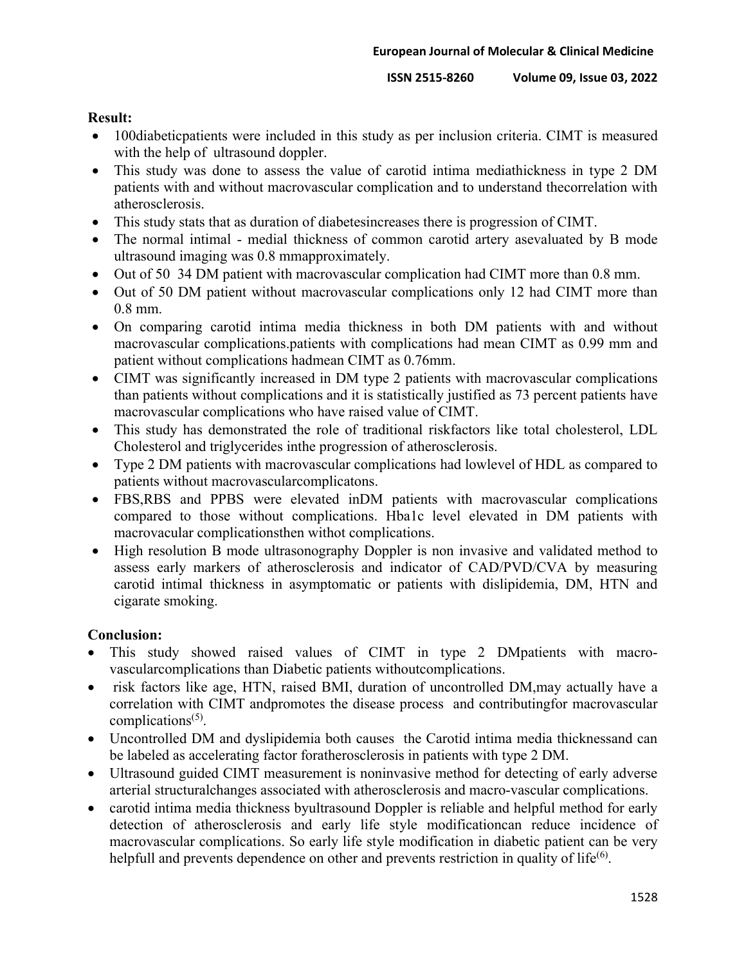## **Result:**

- 100diabeticpatients were included in this study as per inclusion criteria. CIMT is measured with the help of ultrasound doppler.
- This study was done to assess the value of carotid intima mediathickness in type 2 DM patients with and without macrovascular complication and to understand thecorrelation with atherosclerosis.
- This study stats that as duration of diabetesincreases there is progression of CIMT.
- The normal intimal medial thickness of common carotid artery asevaluated by B mode ultrasound imaging was 0.8 mmapproximately.
- Out of 50 34 DM patient with macrovascular complication had CIMT more than 0.8 mm.
- Out of 50 DM patient without macrovascular complications only 12 had CIMT more than 0.8 mm.
- On comparing carotid intima media thickness in both DM patients with and without macrovascular complications.patients with complications had mean CIMT as 0.99 mm and patient without complications hadmean CIMT as 0.76mm.
- CIMT was significantly increased in DM type 2 patients with macrovascular complications than patients without complications and it is statistically justified as 73 percent patients have macrovascular complications who have raised value of CIMT.
- This study has demonstrated the role of traditional riskfactors like total cholesterol, LDL Cholesterol and triglycerides inthe progression of atherosclerosis.
- Type 2 DM patients with macrovascular complications had lowlevel of HDL as compared to patients without macrovascularcomplicatons.
- ∑ FBS,RBS and PPBS were elevated inDM patients with macrovascular complications compared to those without complications. Hba1c level elevated in DM patients with macrovacular complicationsthen withot complications.
- ∑ High resolution B mode ultrasonography Doppler is non invasive and validated method to assess early markers of atherosclerosis and indicator of CAD/PVD/CVA by measuring carotid intimal thickness in asymptomatic or patients with dislipidemia, DM, HTN and cigarate smoking.

# **Conclusion:**

- This study showed raised values of CIMT in type 2 DMpatients with macrovascularcomplications than Diabetic patients withoutcomplications.
- ∑ risk factors like age, HTN, raised BMI, duration of uncontrolled DM,may actually have a correlation with CIMT andpromotes the disease process and contributingfor macrovascular complications<sup> $(5)$ </sup>.
- Uncontrolled DM and dyslipidemia both causes the Carotid intima media thicknessand can be labeled as accelerating factor foratherosclerosis in patients with type 2 DM.
- Ultrasound guided CIMT measurement is noninvasive method for detecting of early adverse arterial structuralchanges associated with atherosclerosis and macro-vascular complications.
- ∑ carotid intima media thickness byultrasound Doppler is reliable and helpful method for early detection of atherosclerosis and early life style modificationcan reduce incidence of macrovascular complications. So early life style modification in diabetic patient can be very helpfull and prevents dependence on other and prevents restriction in quality of life<sup>(6)</sup>.